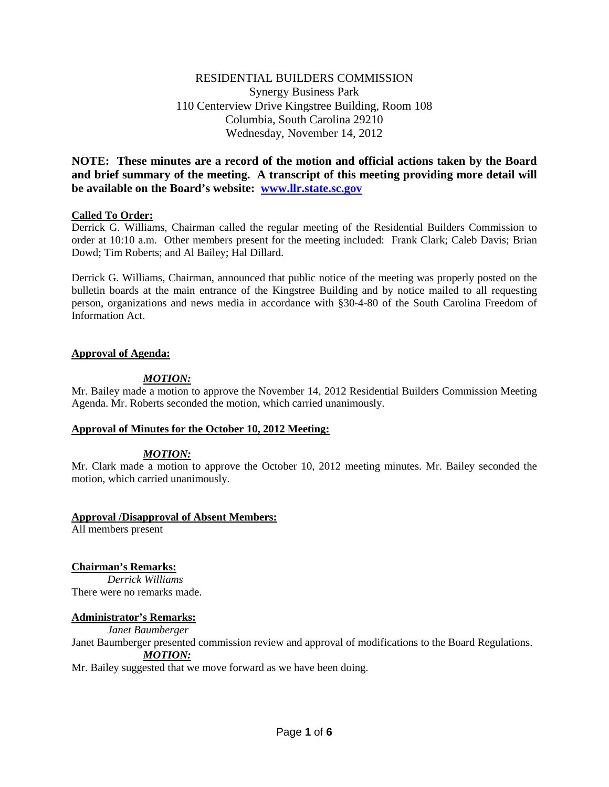# RESIDENTIAL BUILDERS COMMISSION Synergy Business Park 110 Centerview Drive Kingstree Building, Room 108 Columbia, South Carolina 29210 Wednesday, November 14, 2012

**NOTE: These minutes are a record of the motion and official actions taken by the Board and brief summary of the meeting. A transcript of this meeting providing more detail will be available on the Board's website: [www.llr.state.sc.gov](http://www.llr.state.sc.gov/)**

## **Called To Order:**

Derrick G. Williams, Chairman called the regular meeting of the Residential Builders Commission to order at 10:10 a.m. Other members present for the meeting included: Frank Clark; Caleb Davis; Brian Dowd; Tim Roberts; and Al Bailey; Hal Dillard.

Derrick G. Williams, Chairman, announced that public notice of the meeting was properly posted on the bulletin boards at the main entrance of the Kingstree Building and by notice mailed to all requesting person, organizations and news media in accordance with §30-4-80 of the South Carolina Freedom of Information Act.

## **Approval of Agenda:**

## *MOTION:*

Mr. Bailey made a motion to approve the November 14, 2012 Residential Builders Commission Meeting Agenda. Mr. Roberts seconded the motion, which carried unanimously.

### **Approval of Minutes for the October 10, 2012 Meeting:**

# *MOTION:*

Mr. Clark made a motion to approve the October 10, 2012 meeting minutes. Mr. Bailey seconded the motion, which carried unanimously.

### **Approval /Disapproval of Absent Members:**

All members present

# **Chairman's Remarks:**

*Derrick Williams* There were no remarks made.

### **Administrator's Remarks:**

*Janet Baumberger*

Janet Baumberger presented commission review and approval of modifications to the Board Regulations. *MOTION:*

Mr. Bailey suggested that we move forward as we have been doing.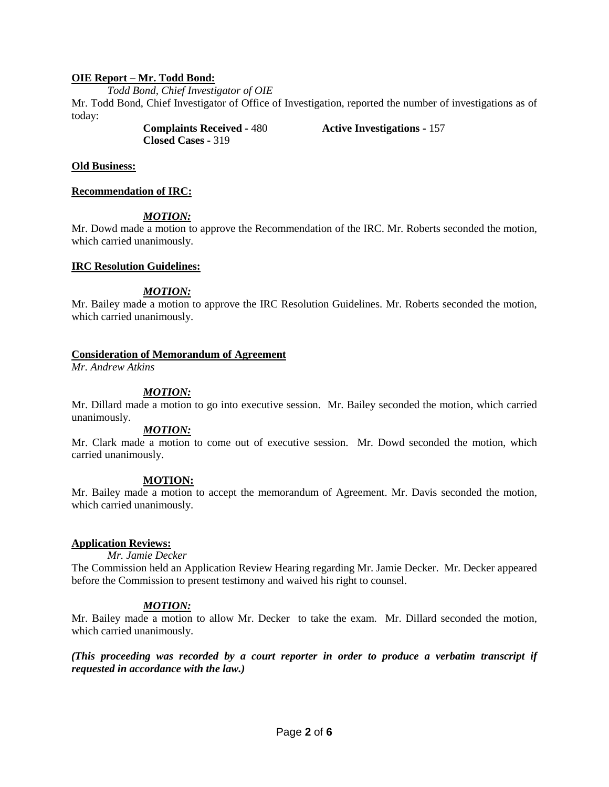### **OIE Report – Mr. Todd Bond:**

*Todd Bond, Chief Investigator of OIE* Mr. Todd Bond, Chief Investigator of Office of Investigation, reported the number of investigations as of today:

> **Complaints Received -** 480 **Active Investigations -** 157 **Closed Cases -** 319

#### **Old Business:**

**Recommendation of IRC:**

#### *MOTION:*

Mr. Dowd made a motion to approve the Recommendation of the IRC. Mr. Roberts seconded the motion, which carried unanimously.

#### **IRC Resolution Guidelines:**

#### *MOTION:*

Mr. Bailey made a motion to approve the IRC Resolution Guidelines. Mr. Roberts seconded the motion, which carried unanimously.

#### **Consideration of Memorandum of Agreement**

*Mr. Andrew Atkins*

#### *MOTION:*

Mr. Dillard made a motion to go into executive session. Mr. Bailey seconded the motion, which carried unanimously.

### *MOTION:*

Mr. Clark made a motion to come out of executive session. Mr. Dowd seconded the motion, which carried unanimously.

#### **MOTION:**

Mr. Bailey made a motion to accept the memorandum of Agreement. Mr. Davis seconded the motion, which carried unanimously.

#### **Application Reviews:**

*Mr. Jamie Decker*

The Commission held an Application Review Hearing regarding Mr. Jamie Decker. Mr. Decker appeared before the Commission to present testimony and waived his right to counsel.

### *MOTION:*

Mr. Bailey made a motion to allow Mr. Decker to take the exam. Mr. Dillard seconded the motion, which carried unanimously.

*(This proceeding was recorded by a court reporter in order to produce a verbatim transcript if requested in accordance with the law.)*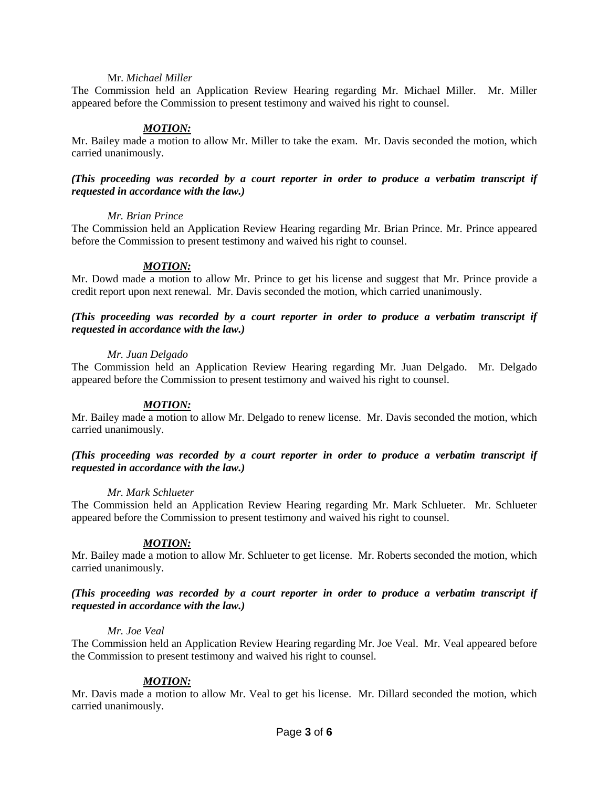#### Mr. *Michael Miller*

The Commission held an Application Review Hearing regarding Mr. Michael Miller. Mr. Miller appeared before the Commission to present testimony and waived his right to counsel.

### *MOTION:*

Mr. Bailey made a motion to allow Mr. Miller to take the exam. Mr. Davis seconded the motion, which carried unanimously.

#### *(This proceeding was recorded by a court reporter in order to produce a verbatim transcript if requested in accordance with the law.)*

#### *Mr. Brian Prince*

The Commission held an Application Review Hearing regarding Mr. Brian Prince. Mr. Prince appeared before the Commission to present testimony and waived his right to counsel.

#### *MOTION:*

Mr. Dowd made a motion to allow Mr. Prince to get his license and suggest that Mr. Prince provide a credit report upon next renewal. Mr. Davis seconded the motion, which carried unanimously.

### *(This proceeding was recorded by a court reporter in order to produce a verbatim transcript if requested in accordance with the law.)*

#### *Mr. Juan Delgado*

The Commission held an Application Review Hearing regarding Mr. Juan Delgado. Mr. Delgado appeared before the Commission to present testimony and waived his right to counsel.

### *MOTION:*

Mr. Bailey made a motion to allow Mr. Delgado to renew license. Mr. Davis seconded the motion, which carried unanimously.

#### *(This proceeding was recorded by a court reporter in order to produce a verbatim transcript if requested in accordance with the law.)*

#### *Mr. Mark Schlueter*

The Commission held an Application Review Hearing regarding Mr. Mark Schlueter. Mr. Schlueter appeared before the Commission to present testimony and waived his right to counsel.

### *MOTION:*

Mr. Bailey made a motion to allow Mr. Schlueter to get license. Mr. Roberts seconded the motion, which carried unanimously.

### *(This proceeding was recorded by a court reporter in order to produce a verbatim transcript if requested in accordance with the law.)*

#### *Mr. Joe Veal*

The Commission held an Application Review Hearing regarding Mr. Joe Veal. Mr. Veal appeared before the Commission to present testimony and waived his right to counsel.

### *MOTION:*

Mr. Davis made a motion to allow Mr. Veal to get his license. Mr. Dillard seconded the motion, which carried unanimously.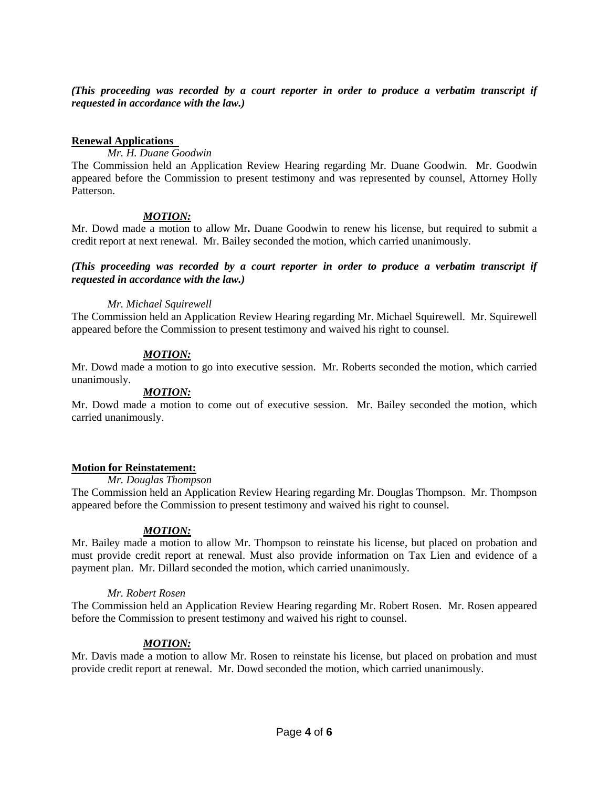*(This proceeding was recorded by a court reporter in order to produce a verbatim transcript if requested in accordance with the law.)*

#### **Renewal Applications**

## *Mr. H. Duane Goodwin*

The Commission held an Application Review Hearing regarding Mr. Duane Goodwin. Mr. Goodwin appeared before the Commission to present testimony and was represented by counsel, Attorney Holly Patterson.

## *MOTION:*

Mr. Dowd made a motion to allow Mr**.** Duane Goodwin to renew his license, but required to submit a credit report at next renewal. Mr. Bailey seconded the motion, which carried unanimously.

### *(This proceeding was recorded by a court reporter in order to produce a verbatim transcript if requested in accordance with the law.)*

### *Mr. Michael Squirewell*

The Commission held an Application Review Hearing regarding Mr. Michael Squirewell. Mr. Squirewell appeared before the Commission to present testimony and waived his right to counsel.

## *MOTION:*

Mr. Dowd made a motion to go into executive session. Mr. Roberts seconded the motion, which carried unanimously.

#### *MOTION:*

Mr. Dowd made a motion to come out of executive session. Mr. Bailey seconded the motion, which carried unanimously.

### **Motion for Reinstatement:**

#### *Mr. Douglas Thompson*

The Commission held an Application Review Hearing regarding Mr. Douglas Thompson. Mr. Thompson appeared before the Commission to present testimony and waived his right to counsel.

### *MOTION:*

Mr. Bailey made a motion to allow Mr. Thompson to reinstate his license, but placed on probation and must provide credit report at renewal. Must also provide information on Tax Lien and evidence of a payment plan. Mr. Dillard seconded the motion, which carried unanimously.

#### *Mr. Robert Rosen*

The Commission held an Application Review Hearing regarding Mr. Robert Rosen. Mr. Rosen appeared before the Commission to present testimony and waived his right to counsel.

### *MOTION:*

Mr. Davis made a motion to allow Mr. Rosen to reinstate his license, but placed on probation and must provide credit report at renewal. Mr. Dowd seconded the motion, which carried unanimously.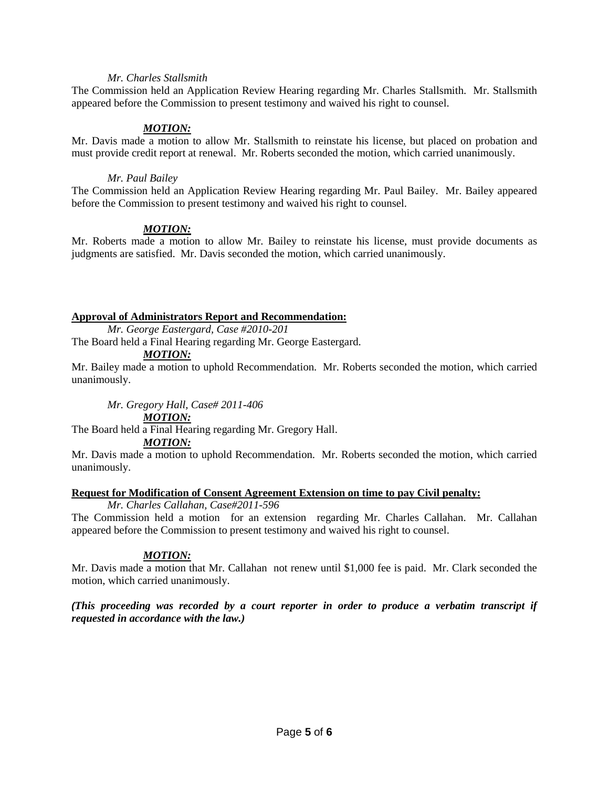### *Mr. Charles Stallsmith*

The Commission held an Application Review Hearing regarding Mr. Charles Stallsmith. Mr. Stallsmith appeared before the Commission to present testimony and waived his right to counsel.

## *MOTION:*

Mr. Davis made a motion to allow Mr. Stallsmith to reinstate his license, but placed on probation and must provide credit report at renewal. Mr. Roberts seconded the motion, which carried unanimously.

## *Mr. Paul Bailey*

The Commission held an Application Review Hearing regarding Mr. Paul Bailey. Mr. Bailey appeared before the Commission to present testimony and waived his right to counsel.

## *MOTION:*

Mr. Roberts made a motion to allow Mr. Bailey to reinstate his license, must provide documents as judgments are satisfied. Mr. Davis seconded the motion, which carried unanimously.

## **Approval of Administrators Report and Recommendation:**

*Mr. George Eastergard, Case #2010-201*

The Board held a Final Hearing regarding Mr. George Eastergard.

## *MOTION:*

Mr. Bailey made a motion to uphold Recommendation. Mr. Roberts seconded the motion, which carried unanimously.

*Mr. Gregory Hall, Case# 2011-406*

# *MOTION:*

The Board held a Final Hearing regarding Mr. Gregory Hall.

*MOTION:*

Mr. Davis made a motion to uphold Recommendation. Mr. Roberts seconded the motion, which carried unanimously.

# **Request for Modification of Consent Agreement Extension on time to pay Civil penalty:**

*Mr. Charles Callahan, Case#2011-596* The Commission held a motion for an extension regarding Mr. Charles Callahan. Mr. Callahan appeared before the Commission to present testimony and waived his right to counsel.

# *MOTION:*

Mr. Davis made a motion that Mr. Callahan not renew until \$1,000 fee is paid. Mr. Clark seconded the motion, which carried unanimously.

*(This proceeding was recorded by a court reporter in order to produce a verbatim transcript if requested in accordance with the law.)*